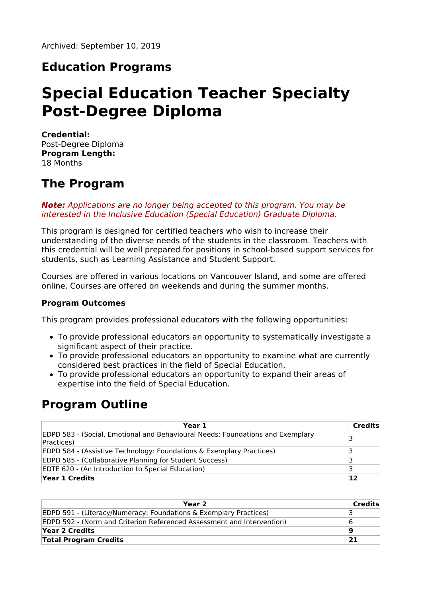### **Education Programs**

# **Special Education Teacher Specialty Post-Degree Diploma**

**Credential:** Post-Degree Diploma **Program Length:** 18 Months

### **The Program**

**Note:** Applications are no longer being accepted to this program. You may be interested in the Inclusive Education (Special Education) Graduate Diploma.

This program is designed for certified teachers who wish to increase their understanding of the diverse needs of the students in the classroom. Teachers with this credential will be well prepared for positions in school-based support services for students, such as Learning Assistance and Student Support.

Courses are offered in various locations on Vancouver Island, and some are offered online. Courses are offered on weekends and during the summer months.

#### **Program Outcomes**

This program provides professional educators with the following opportunities:

- To provide professional educators an opportunity to systematically investigate a significant aspect of their practice.
- To provide professional educators an opportunity to examine what are currently considered best practices in the field of Special Education.
- To provide professional educators an opportunity to expand their areas of expertise into the field of Special Education.

### **Program Outline**

| Year 1                                                                                              | Credits |
|-----------------------------------------------------------------------------------------------------|---------|
| <b>EDPD 583 - (Social, Emotional and Behavioural Needs: Foundations and Exemplary</b><br>Practices) | 3       |
| EDPD 584 - (Assistive Technology: Foundations & Exemplary Practices)                                |         |
| EDPD 585 - (Collaborative Planning for Student Success)                                             |         |
| EDTE 620 - (An Introduction to Special Education)                                                   |         |
| Year 1 Credits                                                                                      | 12      |

| Year 2                                                                 | Credits |
|------------------------------------------------------------------------|---------|
| EDPD 591 - (Literacy/Numeracy: Foundations & Exemplary Practices)      |         |
| EDPD 592 - (Norm and Criterion Referenced Assessment and Intervention) |         |
| Year 2 Credits                                                         | 19      |
| <b>Total Program Credits</b>                                           | 21      |